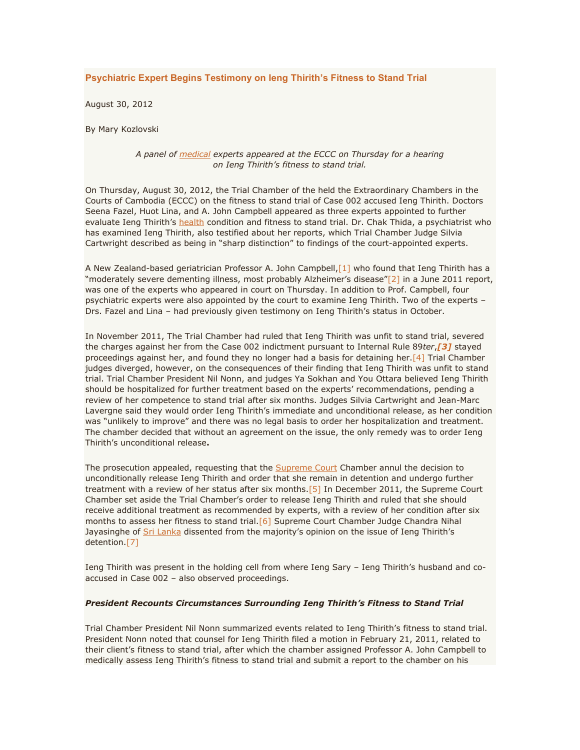# **Psychiatric Expert Begins Testimony on Ieng Thirith's Fitness to Stand Trial**

August 30, 2012

By Mary Kozlovski

## *A panel of [medical](http://www.cambodiatribunal.org/blog/2012/08/psychiatric-expert-begins-testimony-ieng-thirith%E2%80%99s-fitness-stand-trial) experts appeared at the ECCC on Thursday for a hearing on Ieng Thirith's fitness to stand trial.*

On Thursday, August 30, 2012, the Trial Chamber of the held the Extraordinary Chambers in the Courts of Cambodia (ECCC) on the fitness to stand trial of Case 002 accused Ieng Thirith. Doctors Seena Fazel, Huot Lina, and A. John Campbell appeared as three experts appointed to further evaluate Ieng Thirith's [health](http://www.cambodiatribunal.org/blog/2012/08/psychiatric-expert-begins-testimony-ieng-thirith%E2%80%99s-fitness-stand-trial) condition and fitness to stand trial. Dr. Chak Thida, a psychiatrist who has examined Ieng Thirith, also testified about her reports, which Trial Chamber Judge Silvia Cartwright described as being in "sharp distinction" to findings of the court-appointed experts.

A New Zealand-based geriatrician Professor A. John Campbell, [1] who found that Ieng Thirith has a "moderately severe dementing illness, most probably Alzheimer's disease"[\[2\]](http://www.cambodiatribunal.org/blog/2012/08/psychiatric-expert-begins-testimony-ieng-thirith%E2%80%99s-fitness-stand-trial#_ftn2) in a June 2011 report, was one of the experts who appeared in court on Thursday. In addition to Prof. Campbell, four psychiatric experts were also appointed by the court to examine Ieng Thirith. Two of the experts – Drs. Fazel and Lina – had previously given testimony on Ieng Thirith's status in October.

In November 2011, The Trial Chamber had ruled that Ieng Thirith was unfit to stand trial, severed the charges against her from the Case 002 indictment pursuant to Internal Rule 89*ter*,*[\[3\]](http://www.cambodiatribunal.org/blog/2012/08/psychiatric-expert-begins-testimony-ieng-thirith%E2%80%99s-fitness-stand-trial#_ftn3)* stayed proceedings against her, and found they no longer had a basis for detaining her[.\[4\]](http://www.cambodiatribunal.org/blog/2012/08/psychiatric-expert-begins-testimony-ieng-thirith%E2%80%99s-fitness-stand-trial#_ftn4) Trial Chamber judges diverged, however, on the consequences of their finding that Ieng Thirith was unfit to stand trial. Trial Chamber President Nil Nonn, and judges Ya Sokhan and You Ottara believed Ieng Thirith should be hospitalized for further treatment based on the experts' recommendations, pending a review of her competence to stand trial after six months. Judges Silvia Cartwright and Jean-Marc Lavergne said they would order Ieng Thirith's immediate and unconditional release, as her condition was "unlikely to improve" and there was no legal basis to order her hospitalization and treatment. The chamber decided that without an agreement on the issue, the only remedy was to order Ieng Thirith's unconditional release**.**

The prosecution appealed, requesting that the **[Supreme Court](http://www.cambodiatribunal.org/blog/2012/08/psychiatric-expert-begins-testimony-ieng-thirith%E2%80%99s-fitness-stand-trial) Chamber annul the decision to** unconditionally release Ieng Thirith and order that she remain in detention and undergo further treatment with a review of her status after six months.<sup>[5]</sup> In December 2011, the Supreme Court Chamber set aside the Trial Chamber's order to release Ieng Thirith and ruled that she should receive additional treatment as recommended by experts, with a review of her condition after six months to assess her fitness to stand trial. [6] Supreme Court Chamber Judge Chandra Nihal Jayasinghe of *[Sri Lanka](http://www.cambodiatribunal.org/blog/2012/08/psychiatric-expert-begins-testimony-ieng-thirith%E2%80%99s-fitness-stand-trial)* dissented from the majority's opinion on the issue of Ieng Thirith's detention[.\[7\]](http://www.cambodiatribunal.org/blog/2012/08/psychiatric-expert-begins-testimony-ieng-thirith%E2%80%99s-fitness-stand-trial#_ftn7)

Ieng Thirith was present in the holding cell from where Ieng Sary – Ieng Thirith's husband and coaccused in Case 002 – also observed proceedings.

### *President Recounts Circumstances Surrounding Ieng Thirith's Fitness to Stand Trial*

Trial Chamber President Nil Nonn summarized events related to Ieng Thirith's fitness to stand trial. President Nonn noted that counsel for Ieng Thirith filed a motion in February 21, 2011, related to their client's fitness to stand trial, after which the chamber assigned Professor A. John Campbell to medically assess Ieng Thirith's fitness to stand trial and submit a report to the chamber on his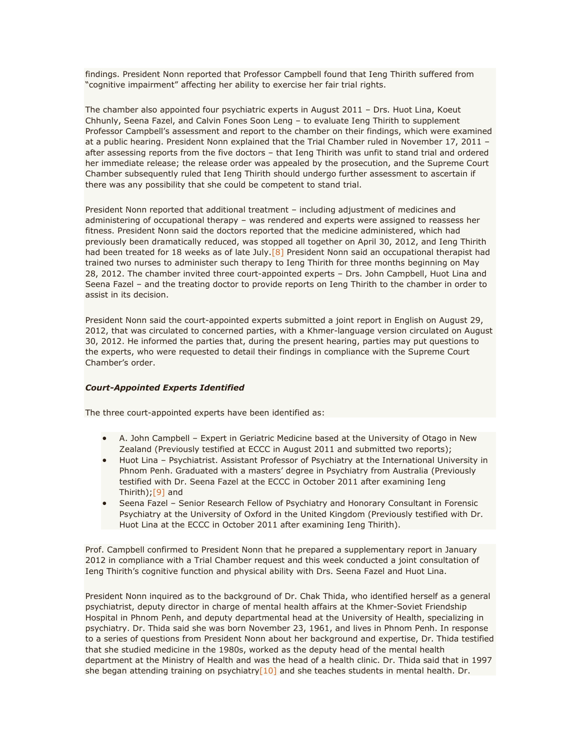findings. President Nonn reported that Professor Campbell found that Ieng Thirith suffered from "cognitive impairment" affecting her ability to exercise her fair trial rights.

The chamber also appointed four psychiatric experts in August 2011 – Drs. Huot Lina, Koeut Chhunly, Seena Fazel, and Calvin Fones Soon Leng – to evaluate Ieng Thirith to supplement Professor Campbell's assessment and report to the chamber on their findings, which were examined at a public hearing. President Nonn explained that the Trial Chamber ruled in November 17, 2011 – after assessing reports from the five doctors – that Ieng Thirith was unfit to stand trial and ordered her immediate release; the release order was appealed by the prosecution, and the Supreme Court Chamber subsequently ruled that Ieng Thirith should undergo further assessment to ascertain if there was any possibility that she could be competent to stand trial.

President Nonn reported that additional treatment – including adjustment of medicines and administering of occupational therapy – was rendered and experts were assigned to reassess her fitness. President Nonn said the doctors reported that the medicine administered, which had previously been dramatically reduced, was stopped all together on April 30, 2012, and Ieng Thirith had been treated for 18 weeks as of late July.<sup>[8]</sup> President Nonn said an occupational therapist had trained two nurses to administer such therapy to Ieng Thirith for three months beginning on May 28, 2012. The chamber invited three court-appointed experts – Drs. John Campbell, Huot Lina and Seena Fazel – and the treating doctor to provide reports on Ieng Thirith to the chamber in order to assist in its decision.

President Nonn said the court-appointed experts submitted a joint report in English on August 29, 2012, that was circulated to concerned parties, with a Khmer-language version circulated on August 30, 2012. He informed the parties that, during the present hearing, parties may put questions to the experts, who were requested to detail their findings in compliance with the Supreme Court Chamber's order.

### *Court-Appointed Experts Identified*

The three court-appointed experts have been identified as:

- A. John Campbell Expert in Geriatric Medicine based at the University of Otago in New Zealand (Previously testified at ECCC in August 2011 and submitted two reports);
- Huot Lina Psychiatrist. Assistant Professor of Psychiatry at the International University in Phnom Penh. Graduated with a masters' degree in Psychiatry from Australia (Previously testified with Dr. Seena Fazel at the ECCC in October 2011 after examining Ieng Thirith)[;\[9\]](http://www.cambodiatribunal.org/blog/2012/08/psychiatric-expert-begins-testimony-ieng-thirith%E2%80%99s-fitness-stand-trial#_ftn9) and
- Seena Fazel Senior Research Fellow of Psychiatry and Honorary Consultant in Forensic Psychiatry at the University of Oxford in the United Kingdom (Previously testified with Dr. Huot Lina at the ECCC in October 2011 after examining Ieng Thirith).

Prof. Campbell confirmed to President Nonn that he prepared a supplementary report in January 2012 in compliance with a Trial Chamber request and this week conducted a joint consultation of Ieng Thirith's cognitive function and physical ability with Drs. Seena Fazel and Huot Lina.

President Nonn inquired as to the background of Dr. Chak Thida, who identified herself as a general psychiatrist, deputy director in charge of mental health affairs at the Khmer-Soviet Friendship Hospital in Phnom Penh, and deputy departmental head at the University of Health, specializing in psychiatry. Dr. Thida said she was born November 23, 1961, and lives in Phnom Penh. In response to a series of questions from President Nonn about her background and expertise, Dr. Thida testified that she studied medicine in the 1980s, worked as the deputy head of the mental health department at the Ministry of Health and was the head of a health clinic. Dr. Thida said that in 1997 she began attending training on psychiatry<sup>[10]</sup> and she teaches students in mental health. Dr.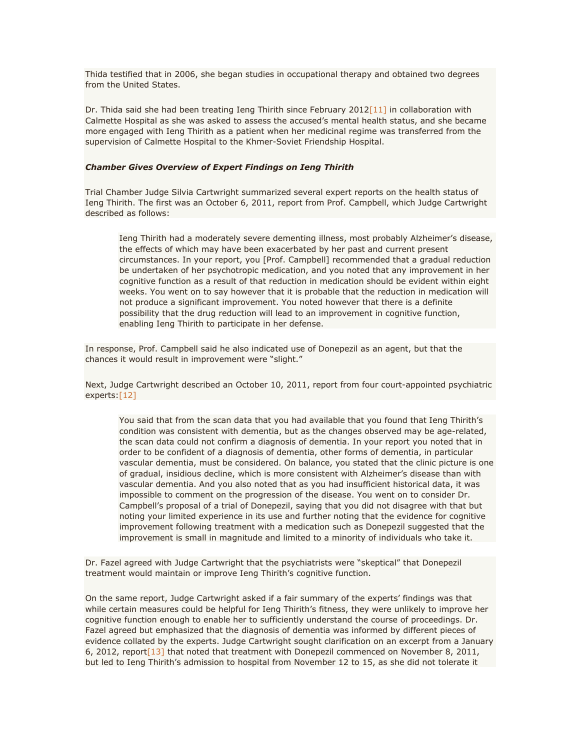Thida testified that in 2006, she began studies in occupational therapy and obtained two degrees from the United States.

Dr. Thida said she had been treating Ieng Thirith since February 2012 $[11]$  in collaboration with Calmette Hospital as she was asked to assess the accused's mental health status, and she became more engaged with Ieng Thirith as a patient when her medicinal regime was transferred from the supervision of Calmette Hospital to the Khmer-Soviet Friendship Hospital.

### *Chamber Gives Overview of Expert Findings on Ieng Thirith*

Trial Chamber Judge Silvia Cartwright summarized several expert reports on the health status of Ieng Thirith. The first was an October 6, 2011, report from Prof. Campbell, which Judge Cartwright described as follows:

Ieng Thirith had a moderately severe dementing illness, most probably Alzheimer's disease, the effects of which may have been exacerbated by her past and current present circumstances. In your report, you [Prof. Campbell] recommended that a gradual reduction be undertaken of her psychotropic medication, and you noted that any improvement in her cognitive function as a result of that reduction in medication should be evident within eight weeks. You went on to say however that it is probable that the reduction in medication will not produce a significant improvement. You noted however that there is a definite possibility that the drug reduction will lead to an improvement in cognitive function, enabling Ieng Thirith to participate in her defense.

In response, Prof. Campbell said he also indicated use of Donepezil as an agent, but that the chances it would result in improvement were "slight."

Next, Judge Cartwright described an October 10, 2011, report from four court-appointed psychiatric experts[:\[12\]](http://www.cambodiatribunal.org/blog/2012/08/psychiatric-expert-begins-testimony-ieng-thirith%E2%80%99s-fitness-stand-trial#_ftn12)

You said that from the scan data that you had available that you found that Ieng Thirith's condition was consistent with dementia, but as the changes observed may be age-related, the scan data could not confirm a diagnosis of dementia. In your report you noted that in order to be confident of a diagnosis of dementia, other forms of dementia, in particular vascular dementia, must be considered. On balance, you stated that the clinic picture is one of gradual, insidious decline, which is more consistent with Alzheimer's disease than with vascular dementia. And you also noted that as you had insufficient historical data, it was impossible to comment on the progression of the disease. You went on to consider Dr. Campbell's proposal of a trial of Donepezil, saying that you did not disagree with that but noting your limited experience in its use and further noting that the evidence for cognitive improvement following treatment with a medication such as Donepezil suggested that the improvement is small in magnitude and limited to a minority of individuals who take it.

Dr. Fazel agreed with Judge Cartwright that the psychiatrists were "skeptical" that Donepezil treatment would maintain or improve Ieng Thirith's cognitive function.

On the same report, Judge Cartwright asked if a fair summary of the experts' findings was that while certain measures could be helpful for Ieng Thirith's fitness, they were unlikely to improve her cognitive function enough to enable her to sufficiently understand the course of proceedings. Dr. Fazel agreed but emphasized that the diagnosis of dementia was informed by different pieces of evidence collated by the experts. Judge Cartwright sought clarification on an excerpt from a January 6, 2012, repor[t\[13\]](http://www.cambodiatribunal.org/blog/2012/08/psychiatric-expert-begins-testimony-ieng-thirith%E2%80%99s-fitness-stand-trial#_ftn13) that noted that treatment with Donepezil commenced on November 8, 2011, but led to Ieng Thirith's admission to hospital from November 12 to 15, as she did not tolerate it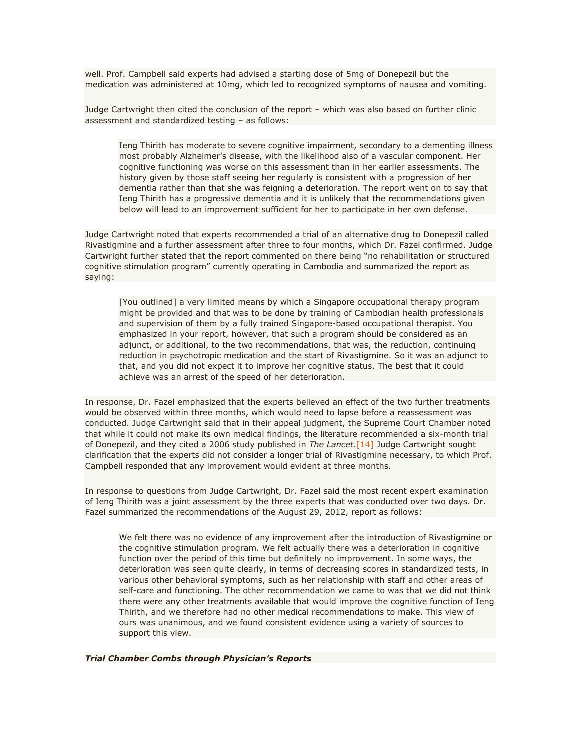well. Prof. Campbell said experts had advised a starting dose of 5mg of Donepezil but the medication was administered at 10mg, which led to recognized symptoms of nausea and vomiting.

Judge Cartwright then cited the conclusion of the report – which was also based on further clinic assessment and standardized testing – as follows:

Ieng Thirith has moderate to severe cognitive impairment, secondary to a dementing illness most probably Alzheimer's disease, with the likelihood also of a vascular component. Her cognitive functioning was worse on this assessment than in her earlier assessments. The history given by those staff seeing her regularly is consistent with a progression of her dementia rather than that she was feigning a deterioration. The report went on to say that Ieng Thirith has a progressive dementia and it is unlikely that the recommendations given below will lead to an improvement sufficient for her to participate in her own defense.

Judge Cartwright noted that experts recommended a trial of an alternative drug to Donepezil called Rivastigmine and a further assessment after three to four months, which Dr. Fazel confirmed. Judge Cartwright further stated that the report commented on there being "no rehabilitation or structured cognitive stimulation program" currently operating in Cambodia and summarized the report as saying:

[You outlined] a very limited means by which a Singapore occupational therapy program might be provided and that was to be done by training of Cambodian health professionals and supervision of them by a fully trained Singapore-based occupational therapist. You emphasized in your report, however, that such a program should be considered as an adjunct, or additional, to the two recommendations, that was, the reduction, continuing reduction in psychotropic medication and the start of Rivastigmine. So it was an adjunct to that, and you did not expect it to improve her cognitive status. The best that it could achieve was an arrest of the speed of her deterioration.

In response, Dr. Fazel emphasized that the experts believed an effect of the two further treatments would be observed within three months, which would need to lapse before a reassessment was conducted. Judge Cartwright said that in their appeal judgment, the Supreme Court Chamber noted that while it could not make its own medical findings, the literature recommended a six-month trial of Donepezil, and they cited a 2006 study published in *The Lancet*[.\[14\]](http://www.cambodiatribunal.org/blog/2012/08/psychiatric-expert-begins-testimony-ieng-thirith%E2%80%99s-fitness-stand-trial#_ftn14) Judge Cartwright sought clarification that the experts did not consider a longer trial of Rivastigmine necessary, to which Prof. Campbell responded that any improvement would evident at three months.

In response to questions from Judge Cartwright, Dr. Fazel said the most recent expert examination of Ieng Thirith was a joint assessment by the three experts that was conducted over two days. Dr. Fazel summarized the recommendations of the August 29, 2012, report as follows:

We felt there was no evidence of any improvement after the introduction of Rivastigmine or the cognitive stimulation program. We felt actually there was a deterioration in cognitive function over the period of this time but definitely no improvement. In some ways, the deterioration was seen quite clearly, in terms of decreasing scores in standardized tests, in various other behavioral symptoms, such as her relationship with staff and other areas of self-care and functioning. The other recommendation we came to was that we did not think there were any other treatments available that would improve the cognitive function of Ieng Thirith, and we therefore had no other medical recommendations to make. This view of ours was unanimous, and we found consistent evidence using a variety of sources to support this view.

*Trial Chamber Combs through Physician's Reports*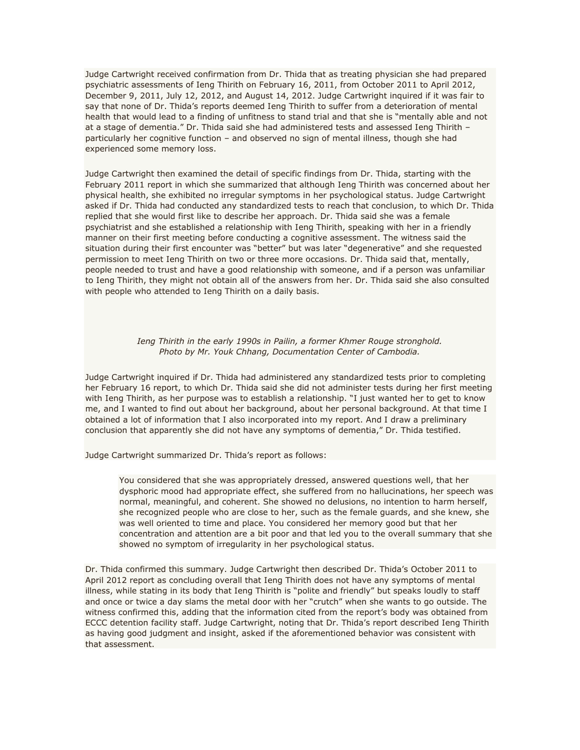Judge Cartwright received confirmation from Dr. Thida that as treating physician she had prepared psychiatric assessments of Ieng Thirith on February 16, 2011, from October 2011 to April 2012, December 9, 2011, July 12, 2012, and August 14, 2012. Judge Cartwright inquired if it was fair to say that none of Dr. Thida's reports deemed Ieng Thirith to suffer from a deterioration of mental health that would lead to a finding of unfitness to stand trial and that she is "mentally able and not at a stage of dementia." Dr. Thida said she had administered tests and assessed Ieng Thirith – particularly her cognitive function – and observed no sign of mental illness, though she had experienced some memory loss.

Judge Cartwright then examined the detail of specific findings from Dr. Thida, starting with the February 2011 report in which she summarized that although Ieng Thirith was concerned about her physical health, she exhibited no irregular symptoms in her psychological status. Judge Cartwright asked if Dr. Thida had conducted any standardized tests to reach that conclusion, to which Dr. Thida replied that she would first like to describe her approach. Dr. Thida said she was a female psychiatrist and she established a relationship with Ieng Thirith, speaking with her in a friendly manner on their first meeting before conducting a cognitive assessment. The witness said the situation during their first encounter was "better" but was later "degenerative" and she requested permission to meet Ieng Thirith on two or three more occasions. Dr. Thida said that, mentally, people needed to trust and have a good relationship with someone, and if a person was unfamiliar to Ieng Thirith, they might not obtain all of the answers from her. Dr. Thida said she also consulted with people who attended to Ieng Thirith on a daily basis.

### *Ieng Thirith in the early 1990s in Pailin, a former Khmer Rouge stronghold. Photo by Mr. Youk Chhang, Documentation Center of Cambodia.*

Judge Cartwright inquired if Dr. Thida had administered any standardized tests prior to completing her February 16 report, to which Dr. Thida said she did not administer tests during her first meeting with Ieng Thirith, as her purpose was to establish a relationship. "I just wanted her to get to know me, and I wanted to find out about her background, about her personal background. At that time I obtained a lot of information that I also incorporated into my report. And I draw a preliminary conclusion that apparently she did not have any symptoms of dementia," Dr. Thida testified.

Judge Cartwright summarized Dr. Thida's report as follows:

You considered that she was appropriately dressed, answered questions well, that her dysphoric mood had appropriate effect, she suffered from no hallucinations, her speech was normal, meaningful, and coherent. She showed no delusions, no intention to harm herself, she recognized people who are close to her, such as the female guards, and she knew, she was well oriented to time and place. You considered her memory good but that her concentration and attention are a bit poor and that led you to the overall summary that she showed no symptom of irregularity in her psychological status.

Dr. Thida confirmed this summary. Judge Cartwright then described Dr. Thida's October 2011 to April 2012 report as concluding overall that Ieng Thirith does not have any symptoms of mental illness, while stating in its body that Ieng Thirith is "polite and friendly" but speaks loudly to staff and once or twice a day slams the metal door with her "crutch" when she wants to go outside. The witness confirmed this, adding that the information cited from the report's body was obtained from ECCC detention facility staff. Judge Cartwright, noting that Dr. Thida's report described Ieng Thirith as having good judgment and insight, asked if the aforementioned behavior was consistent with that assessment.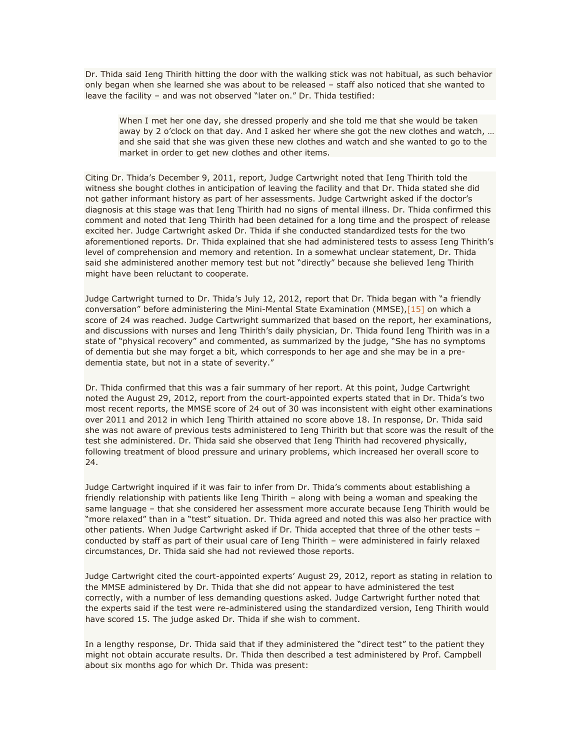Dr. Thida said Ieng Thirith hitting the door with the walking stick was not habitual, as such behavior only began when she learned she was about to be released – staff also noticed that she wanted to leave the facility – and was not observed "later on." Dr. Thida testified:

When I met her one day, she dressed properly and she told me that she would be taken away by 2 o'clock on that day. And I asked her where she got the new clothes and watch, … and she said that she was given these new clothes and watch and she wanted to go to the market in order to get new clothes and other items.

Citing Dr. Thida's December 9, 2011, report, Judge Cartwright noted that Ieng Thirith told the witness she bought clothes in anticipation of leaving the facility and that Dr. Thida stated she did not gather informant history as part of her assessments. Judge Cartwright asked if the doctor's diagnosis at this stage was that Ieng Thirith had no signs of mental illness. Dr. Thida confirmed this comment and noted that Ieng Thirith had been detained for a long time and the prospect of release excited her. Judge Cartwright asked Dr. Thida if she conducted standardized tests for the two aforementioned reports. Dr. Thida explained that she had administered tests to assess Ieng Thirith's level of comprehension and memory and retention. In a somewhat unclear statement, Dr. Thida said she administered another memory test but not "directly" because she believed Ieng Thirith might have been reluctant to cooperate.

Judge Cartwright turned to Dr. Thida's July 12, 2012, report that Dr. Thida began with "a friendly conversation" before administering the Mini-Mental State Examination (MMSE)[,\[15\]](http://www.cambodiatribunal.org/blog/2012/08/psychiatric-expert-begins-testimony-ieng-thirith%E2%80%99s-fitness-stand-trial#_ftn15) on which a score of 24 was reached. Judge Cartwright summarized that based on the report, her examinations, and discussions with nurses and Ieng Thirith's daily physician, Dr. Thida found Ieng Thirith was in a state of "physical recovery" and commented, as summarized by the judge, "She has no symptoms of dementia but she may forget a bit, which corresponds to her age and she may be in a predementia state, but not in a state of severity."

Dr. Thida confirmed that this was a fair summary of her report. At this point, Judge Cartwright noted the August 29, 2012, report from the court-appointed experts stated that in Dr. Thida's two most recent reports, the MMSE score of 24 out of 30 was inconsistent with eight other examinations over 2011 and 2012 in which Ieng Thirith attained no score above 18. In response, Dr. Thida said she was not aware of previous tests administered to Ieng Thirith but that score was the result of the test she administered. Dr. Thida said she observed that Ieng Thirith had recovered physically, following treatment of blood pressure and urinary problems, which increased her overall score to 24.

Judge Cartwright inquired if it was fair to infer from Dr. Thida's comments about establishing a friendly relationship with patients like Ieng Thirith – along with being a woman and speaking the same language – that she considered her assessment more accurate because Ieng Thirith would be "more relaxed" than in a "test" situation. Dr. Thida agreed and noted this was also her practice with other patients. When Judge Cartwright asked if Dr. Thida accepted that three of the other tests – conducted by staff as part of their usual care of Ieng Thirith – were administered in fairly relaxed circumstances, Dr. Thida said she had not reviewed those reports.

Judge Cartwright cited the court-appointed experts' August 29, 2012, report as stating in relation to the MMSE administered by Dr. Thida that she did not appear to have administered the test correctly, with a number of less demanding questions asked. Judge Cartwright further noted that the experts said if the test were re-administered using the standardized version, Ieng Thirith would have scored 15. The judge asked Dr. Thida if she wish to comment.

In a lengthy response, Dr. Thida said that if they administered the "direct test" to the patient they might not obtain accurate results. Dr. Thida then described a test administered by Prof. Campbell about six months ago for which Dr. Thida was present: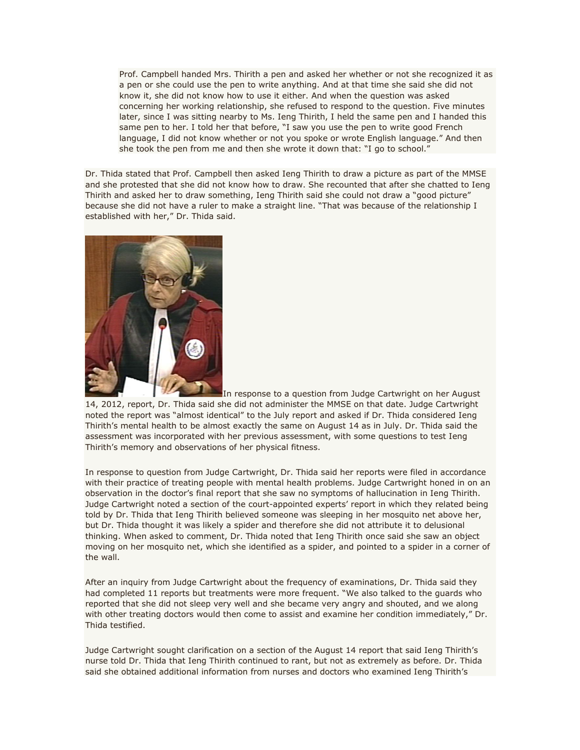Prof. Campbell handed Mrs. Thirith a pen and asked her whether or not she recognized it as a pen or she could use the pen to write anything. And at that time she said she did not know it, she did not know how to use it either. And when the question was asked concerning her working relationship, she refused to respond to the question. Five minutes later, since I was sitting nearby to Ms. Ieng Thirith, I held the same pen and I handed this same pen to her. I told her that before, "I saw you use the pen to write good French language, I did not know whether or not you spoke or wrote English language." And then she took the pen from me and then she wrote it down that: "I go to school."

Dr. Thida stated that Prof. Campbell then asked Ieng Thirith to draw a picture as part of the MMSE and she protested that she did not know how to draw. She recounted that after she chatted to Ieng Thirith and asked her to draw something, Ieng Thirith said she could not draw a "good picture" because she did not have a ruler to make a straight line. "That was because of the relationship I established with her," Dr. Thida said.



In response to a question from Judge Cartwright on her August 14, 2012, report, Dr. Thida said she did not administer the MMSE on that date. Judge Cartwright noted the report was "almost identical" to the July report and asked if Dr. Thida considered Ieng Thirith's mental health to be almost exactly the same on August 14 as in July. Dr. Thida said the assessment was incorporated with her previous assessment, with some questions to test Ieng Thirith's memory and observations of her physical fitness.

In response to question from Judge Cartwright, Dr. Thida said her reports were filed in accordance with their practice of treating people with mental health problems. Judge Cartwright honed in on an observation in the doctor's final report that she saw no symptoms of hallucination in Ieng Thirith. Judge Cartwright noted a section of the court-appointed experts' report in which they related being told by Dr. Thida that Ieng Thirith believed someone was sleeping in her mosquito net above her, but Dr. Thida thought it was likely a spider and therefore she did not attribute it to delusional thinking. When asked to comment, Dr. Thida noted that Ieng Thirith once said she saw an object moving on her mosquito net, which she identified as a spider, and pointed to a spider in a corner of the wall.

After an inquiry from Judge Cartwright about the frequency of examinations, Dr. Thida said they had completed 11 reports but treatments were more frequent. "We also talked to the guards who reported that she did not sleep very well and she became very angry and shouted, and we along with other treating doctors would then come to assist and examine her condition immediately," Dr. Thida testified.

Judge Cartwright sought clarification on a section of the August 14 report that said Ieng Thirith's nurse told Dr. Thida that Ieng Thirith continued to rant, but not as extremely as before. Dr. Thida said she obtained additional information from nurses and doctors who examined Ieng Thirith's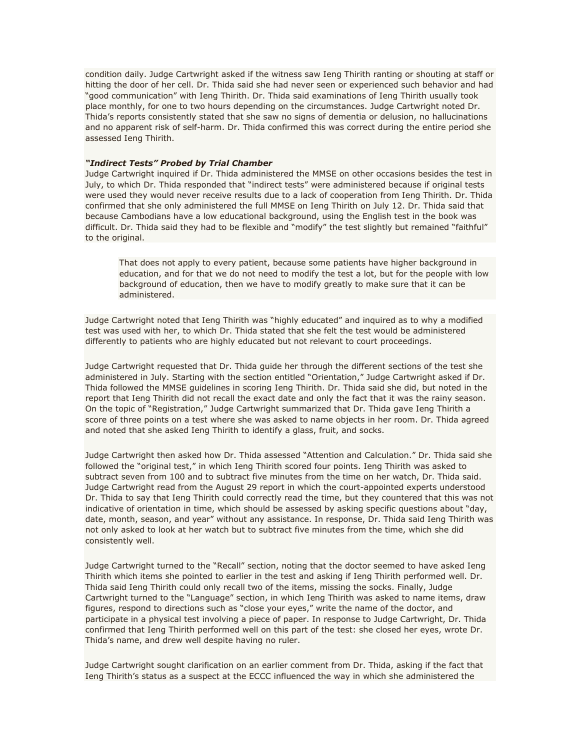condition daily. Judge Cartwright asked if the witness saw Ieng Thirith ranting or shouting at staff or hitting the door of her cell. Dr. Thida said she had never seen or experienced such behavior and had "good communication" with Ieng Thirith. Dr. Thida said examinations of Ieng Thirith usually took place monthly, for one to two hours depending on the circumstances. Judge Cartwright noted Dr. Thida's reports consistently stated that she saw no signs of dementia or delusion, no hallucinations and no apparent risk of self-harm. Dr. Thida confirmed this was correct during the entire period she assessed Ieng Thirith.

### *"Indirect Tests" Probed by Trial Chamber*

Judge Cartwright inquired if Dr. Thida administered the MMSE on other occasions besides the test in July, to which Dr. Thida responded that "indirect tests" were administered because if original tests were used they would never receive results due to a lack of cooperation from Ieng Thirith. Dr. Thida confirmed that she only administered the full MMSE on Ieng Thirith on July 12. Dr. Thida said that because Cambodians have a low educational background, using the English test in the book was difficult. Dr. Thida said they had to be flexible and "modify" the test slightly but remained "faithful" to the original.

That does not apply to every patient, because some patients have higher background in education, and for that we do not need to modify the test a lot, but for the people with low background of education, then we have to modify greatly to make sure that it can be administered.

Judge Cartwright noted that Ieng Thirith was "highly educated" and inquired as to why a modified test was used with her, to which Dr. Thida stated that she felt the test would be administered differently to patients who are highly educated but not relevant to court proceedings.

Judge Cartwright requested that Dr. Thida guide her through the different sections of the test she administered in July. Starting with the section entitled "Orientation," Judge Cartwright asked if Dr. Thida followed the MMSE guidelines in scoring Ieng Thirith. Dr. Thida said she did, but noted in the report that Ieng Thirith did not recall the exact date and only the fact that it was the rainy season. On the topic of "Registration," Judge Cartwright summarized that Dr. Thida gave Ieng Thirith a score of three points on a test where she was asked to name objects in her room. Dr. Thida agreed and noted that she asked Ieng Thirith to identify a glass, fruit, and socks.

Judge Cartwright then asked how Dr. Thida assessed "Attention and Calculation." Dr. Thida said she followed the "original test," in which Ieng Thirith scored four points. Ieng Thirith was asked to subtract seven from 100 and to subtract five minutes from the time on her watch, Dr. Thida said. Judge Cartwright read from the August 29 report in which the court-appointed experts understood Dr. Thida to say that Ieng Thirith could correctly read the time, but they countered that this was not indicative of orientation in time, which should be assessed by asking specific questions about "day, date, month, season, and year" without any assistance. In response, Dr. Thida said Ieng Thirith was not only asked to look at her watch but to subtract five minutes from the time, which she did consistently well.

Judge Cartwright turned to the "Recall" section, noting that the doctor seemed to have asked Ieng Thirith which items she pointed to earlier in the test and asking if Ieng Thirith performed well. Dr. Thida said Ieng Thirith could only recall two of the items, missing the socks. Finally, Judge Cartwright turned to the "Language" section, in which Ieng Thirith was asked to name items, draw figures, respond to directions such as "close your eyes," write the name of the doctor, and participate in a physical test involving a piece of paper. In response to Judge Cartwright, Dr. Thida confirmed that Ieng Thirith performed well on this part of the test: she closed her eyes, wrote Dr. Thida's name, and drew well despite having no ruler.

Judge Cartwright sought clarification on an earlier comment from Dr. Thida, asking if the fact that Ieng Thirith's status as a suspect at the ECCC influenced the way in which she administered the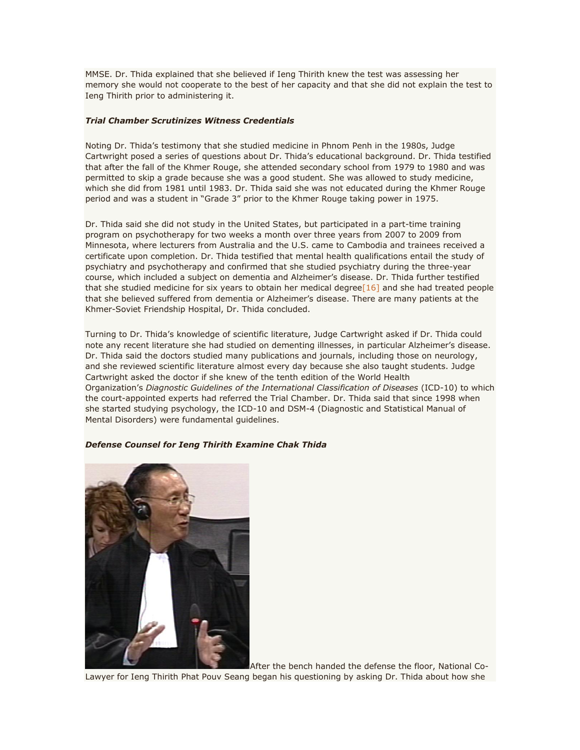MMSE. Dr. Thida explained that she believed if Ieng Thirith knew the test was assessing her memory she would not cooperate to the best of her capacity and that she did not explain the test to Ieng Thirith prior to administering it.

## *Trial Chamber Scrutinizes Witness Credentials*

Noting Dr. Thida's testimony that she studied medicine in Phnom Penh in the 1980s, Judge Cartwright posed a series of questions about Dr. Thida's educational background. Dr. Thida testified that after the fall of the Khmer Rouge, she attended secondary school from 1979 to 1980 and was permitted to skip a grade because she was a good student. She was allowed to study medicine, which she did from 1981 until 1983. Dr. Thida said she was not educated during the Khmer Rouge period and was a student in "Grade 3" prior to the Khmer Rouge taking power in 1975.

Dr. Thida said she did not study in the United States, but participated in a part-time training program on psychotherapy for two weeks a month over three years from 2007 to 2009 from Minnesota, where lecturers from Australia and the U.S. came to Cambodia and trainees received a certificate upon completion. Dr. Thida testified that mental health qualifications entail the study of psychiatry and psychotherapy and confirmed that she studied psychiatry during the three-year course, which included a subject on dementia and Alzheimer's disease. Dr. Thida further testified that she studied medicine for six years to obtain her medical degree $[16]$  and she had treated people that she believed suffered from dementia or Alzheimer's disease. There are many patients at the Khmer-Soviet Friendship Hospital, Dr. Thida concluded.

Turning to Dr. Thida's knowledge of scientific literature, Judge Cartwright asked if Dr. Thida could note any recent literature she had studied on dementing illnesses, in particular Alzheimer's disease. Dr. Thida said the doctors studied many publications and journals, including those on neurology, and she reviewed scientific literature almost every day because she also taught students. Judge Cartwright asked the doctor if she knew of the tenth edition of the World Health Organization's *Diagnostic Guidelines of the International Classification of Diseases* (ICD-10) to which the court-appointed experts had referred the Trial Chamber. Dr. Thida said that since 1998 when she started studying psychology, the ICD-10 and DSM-4 (Diagnostic and Statistical Manual of Mental Disorders) were fundamental guidelines.

### *Defense Counsel for Ieng Thirith Examine Chak Thida*



After the bench handed the defense the floor, National Co-

Lawyer for Ieng Thirith Phat Pouv Seang began his questioning by asking Dr. Thida about how she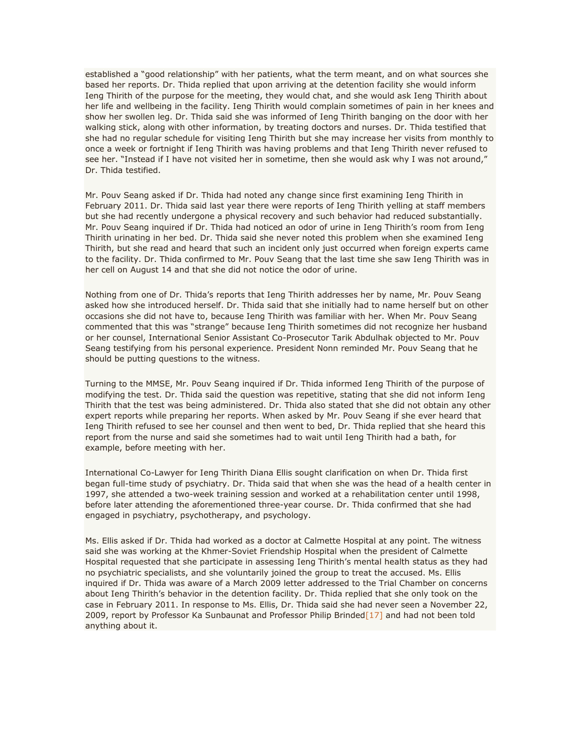established a "good relationship" with her patients, what the term meant, and on what sources she based her reports. Dr. Thida replied that upon arriving at the detention facility she would inform Ieng Thirith of the purpose for the meeting, they would chat, and she would ask Ieng Thirith about her life and wellbeing in the facility. Ieng Thirith would complain sometimes of pain in her knees and show her swollen leg. Dr. Thida said she was informed of Ieng Thirith banging on the door with her walking stick, along with other information, by treating doctors and nurses. Dr. Thida testified that she had no regular schedule for visiting Ieng Thirith but she may increase her visits from monthly to once a week or fortnight if Ieng Thirith was having problems and that Ieng Thirith never refused to see her. "Instead if I have not visited her in sometime, then she would ask why I was not around," Dr. Thida testified.

Mr. Pouv Seang asked if Dr. Thida had noted any change since first examining Ieng Thirith in February 2011. Dr. Thida said last year there were reports of Ieng Thirith yelling at staff members but she had recently undergone a physical recovery and such behavior had reduced substantially. Mr. Pouv Seang inquired if Dr. Thida had noticed an odor of urine in Ieng Thirith's room from Ieng Thirith urinating in her bed. Dr. Thida said she never noted this problem when she examined Ieng Thirith, but she read and heard that such an incident only just occurred when foreign experts came to the facility. Dr. Thida confirmed to Mr. Pouv Seang that the last time she saw Ieng Thirith was in her cell on August 14 and that she did not notice the odor of urine.

Nothing from one of Dr. Thida's reports that Ieng Thirith addresses her by name, Mr. Pouv Seang asked how she introduced herself. Dr. Thida said that she initially had to name herself but on other occasions she did not have to, because Ieng Thirith was familiar with her. When Mr. Pouv Seang commented that this was "strange" because Ieng Thirith sometimes did not recognize her husband or her counsel, International Senior Assistant Co-Prosecutor Tarik Abdulhak objected to Mr. Pouv Seang testifying from his personal experience. President Nonn reminded Mr. Pouv Seang that he should be putting questions to the witness.

Turning to the MMSE, Mr. Pouv Seang inquired if Dr. Thida informed Ieng Thirith of the purpose of modifying the test. Dr. Thida said the question was repetitive, stating that she did not inform Ieng Thirith that the test was being administered. Dr. Thida also stated that she did not obtain any other expert reports while preparing her reports. When asked by Mr. Pouv Seang if she ever heard that Ieng Thirith refused to see her counsel and then went to bed, Dr. Thida replied that she heard this report from the nurse and said she sometimes had to wait until Ieng Thirith had a bath, for example, before meeting with her.

International Co-Lawyer for Ieng Thirith Diana Ellis sought clarification on when Dr. Thida first began full-time study of psychiatry. Dr. Thida said that when she was the head of a health center in 1997, she attended a two-week training session and worked at a rehabilitation center until 1998, before later attending the aforementioned three-year course. Dr. Thida confirmed that she had engaged in psychiatry, psychotherapy, and psychology.

Ms. Ellis asked if Dr. Thida had worked as a doctor at Calmette Hospital at any point. The witness said she was working at the Khmer-Soviet Friendship Hospital when the president of Calmette Hospital requested that she participate in assessing Ieng Thirith's mental health status as they had no psychiatric specialists, and she voluntarily joined the group to treat the accused. Ms. Ellis inquired if Dr. Thida was aware of a March 2009 letter addressed to the Trial Chamber on concerns about Ieng Thirith's behavior in the detention facility. Dr. Thida replied that she only took on the case in February 2011. In response to Ms. Ellis, Dr. Thida said she had never seen a November 22, 2009, report by Professor Ka Sunbaunat and Professor Philip Brinded $[17]$  and had not been told anything about it.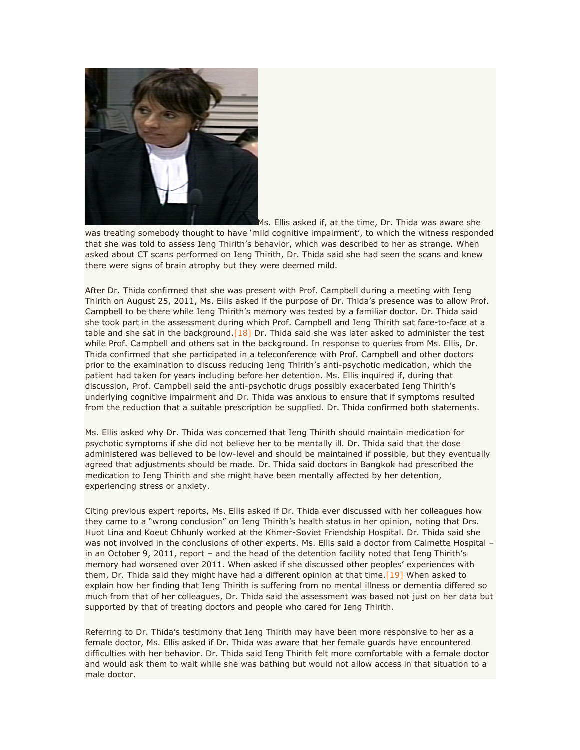

Ms. Ellis asked if, at the time, Dr. Thida was aware she

was treating somebody thought to have 'mild cognitive impairment', to which the witness responded that she was told to assess Ieng Thirith's behavior, which was described to her as strange. When asked about CT scans performed on Ieng Thirith, Dr. Thida said she had seen the scans and knew there were signs of brain atrophy but they were deemed mild.

After Dr. Thida confirmed that she was present with Prof. Campbell during a meeting with Ieng Thirith on August 25, 2011, Ms. Ellis asked if the purpose of Dr. Thida's presence was to allow Prof. Campbell to be there while Ieng Thirith's memory was tested by a familiar doctor. Dr. Thida said she took part in the assessment during which Prof. Campbell and Ieng Thirith sat face-to-face at a table and she sat in the background.  $[18]$  Dr. Thida said she was later asked to administer the test while Prof. Campbell and others sat in the background. In response to queries from Ms. Ellis, Dr. Thida confirmed that she participated in a teleconference with Prof. Campbell and other doctors prior to the examination to discuss reducing Ieng Thirith's anti-psychotic medication, which the patient had taken for years including before her detention. Ms. Ellis inquired if, during that discussion, Prof. Campbell said the anti-psychotic drugs possibly exacerbated Ieng Thirith's underlying cognitive impairment and Dr. Thida was anxious to ensure that if symptoms resulted from the reduction that a suitable prescription be supplied. Dr. Thida confirmed both statements.

Ms. Ellis asked why Dr. Thida was concerned that Ieng Thirith should maintain medication for psychotic symptoms if she did not believe her to be mentally ill. Dr. Thida said that the dose administered was believed to be low-level and should be maintained if possible, but they eventually agreed that adjustments should be made. Dr. Thida said doctors in Bangkok had prescribed the medication to Ieng Thirith and she might have been mentally affected by her detention, experiencing stress or anxiety.

Citing previous expert reports, Ms. Ellis asked if Dr. Thida ever discussed with her colleagues how they came to a "wrong conclusion" on Ieng Thirith's health status in her opinion, noting that Drs. Huot Lina and Koeut Chhunly worked at the Khmer-Soviet Friendship Hospital. Dr. Thida said she was not involved in the conclusions of other experts. Ms. Ellis said a doctor from Calmette Hospital in an October 9, 2011, report – and the head of the detention facility noted that Ieng Thirith's memory had worsened over 2011. When asked if she discussed other peoples' experiences with them, Dr. Thida said they might have had a different opinion at that time.  $[19]$  When asked to explain how her finding that Ieng Thirith is suffering from no mental illness or dementia differed so much from that of her colleagues, Dr. Thida said the assessment was based not just on her data but supported by that of treating doctors and people who cared for Ieng Thirith.

Referring to Dr. Thida's testimony that Ieng Thirith may have been more responsive to her as a female doctor, Ms. Ellis asked if Dr. Thida was aware that her female guards have encountered difficulties with her behavior. Dr. Thida said Ieng Thirith felt more comfortable with a female doctor and would ask them to wait while she was bathing but would not allow access in that situation to a male doctor.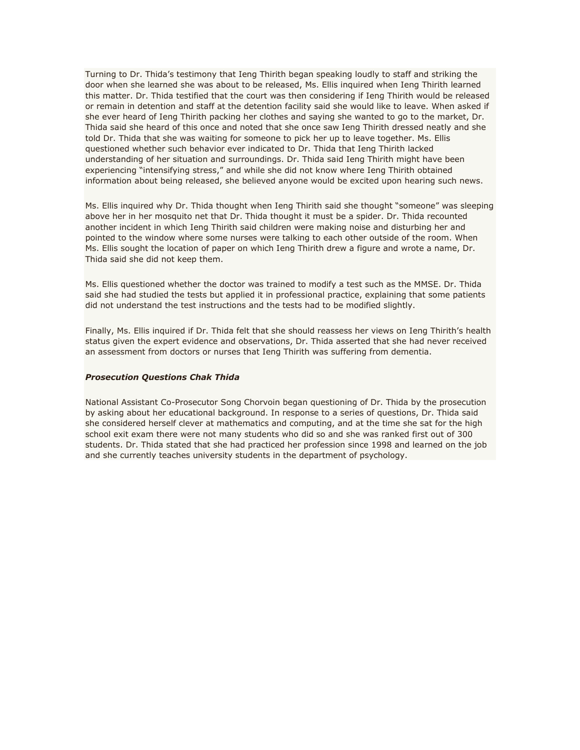Turning to Dr. Thida's testimony that Ieng Thirith began speaking loudly to staff and striking the door when she learned she was about to be released, Ms. Ellis inquired when Ieng Thirith learned this matter. Dr. Thida testified that the court was then considering if Ieng Thirith would be released or remain in detention and staff at the detention facility said she would like to leave. When asked if she ever heard of Ieng Thirith packing her clothes and saying she wanted to go to the market, Dr. Thida said she heard of this once and noted that she once saw Ieng Thirith dressed neatly and she told Dr. Thida that she was waiting for someone to pick her up to leave together. Ms. Ellis questioned whether such behavior ever indicated to Dr. Thida that Ieng Thirith lacked understanding of her situation and surroundings. Dr. Thida said Ieng Thirith might have been experiencing "intensifying stress," and while she did not know where Ieng Thirith obtained information about being released, she believed anyone would be excited upon hearing such news.

Ms. Ellis inquired why Dr. Thida thought when Ieng Thirith said she thought "someone" was sleeping above her in her mosquito net that Dr. Thida thought it must be a spider. Dr. Thida recounted another incident in which Ieng Thirith said children were making noise and disturbing her and pointed to the window where some nurses were talking to each other outside of the room. When Ms. Ellis sought the location of paper on which Ieng Thirith drew a figure and wrote a name, Dr. Thida said she did not keep them.

Ms. Ellis questioned whether the doctor was trained to modify a test such as the MMSE. Dr. Thida said she had studied the tests but applied it in professional practice, explaining that some patients did not understand the test instructions and the tests had to be modified slightly.

Finally, Ms. Ellis inquired if Dr. Thida felt that she should reassess her views on Ieng Thirith's health status given the expert evidence and observations, Dr. Thida asserted that she had never received an assessment from doctors or nurses that Ieng Thirith was suffering from dementia.

#### *Prosecution Questions Chak Thida*

National Assistant Co-Prosecutor Song Chorvoin began questioning of Dr. Thida by the prosecution by asking about her educational background. In response to a series of questions, Dr. Thida said she considered herself clever at mathematics and computing, and at the time she sat for the high school exit exam there were not many students who did so and she was ranked first out of 300 students. Dr. Thida stated that she had practiced her profession since 1998 and learned on the job and she currently teaches university students in the department of psychology.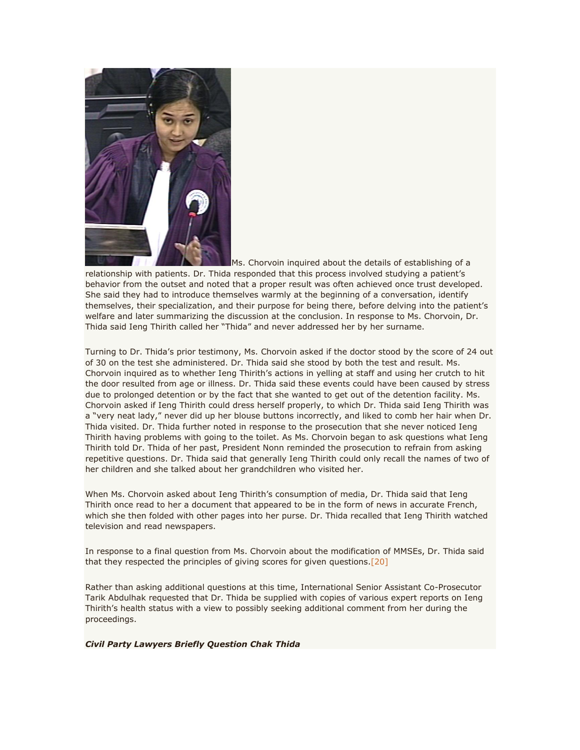

Ms. Chorvoin inquired about the details of establishing of a

relationship with patients. Dr. Thida responded that this process involved studying a patient's behavior from the outset and noted that a proper result was often achieved once trust developed. She said they had to introduce themselves warmly at the beginning of a conversation, identify themselves, their specialization, and their purpose for being there, before delving into the patient's welfare and later summarizing the discussion at the conclusion. In response to Ms. Chorvoin, Dr. Thida said Ieng Thirith called her "Thida" and never addressed her by her surname.

Turning to Dr. Thida's prior testimony, Ms. Chorvoin asked if the doctor stood by the score of 24 out of 30 on the test she administered. Dr. Thida said she stood by both the test and result. Ms. Chorvoin inquired as to whether Ieng Thirith's actions in yelling at staff and using her crutch to hit the door resulted from age or illness. Dr. Thida said these events could have been caused by stress due to prolonged detention or by the fact that she wanted to get out of the detention facility. Ms. Chorvoin asked if Ieng Thirith could dress herself properly, to which Dr. Thida said Ieng Thirith was a "very neat lady," never did up her blouse buttons incorrectly, and liked to comb her hair when Dr. Thida visited. Dr. Thida further noted in response to the prosecution that she never noticed Ieng Thirith having problems with going to the toilet. As Ms. Chorvoin began to ask questions what Ieng Thirith told Dr. Thida of her past, President Nonn reminded the prosecution to refrain from asking repetitive questions. Dr. Thida said that generally Ieng Thirith could only recall the names of two of her children and she talked about her grandchildren who visited her.

When Ms. Chorvoin asked about Ieng Thirith's consumption of media, Dr. Thida said that Ieng Thirith once read to her a document that appeared to be in the form of news in accurate French, which she then folded with other pages into her purse. Dr. Thida recalled that Ieng Thirith watched television and read newspapers.

In response to a final question from Ms. Chorvoin about the modification of MMSEs, Dr. Thida said that they respected the principles of giving scores for given questions[.\[20\]](http://www.cambodiatribunal.org/blog/2012/08/psychiatric-expert-begins-testimony-ieng-thirith%E2%80%99s-fitness-stand-trial#_ftn20)

Rather than asking additional questions at this time, International Senior Assistant Co-Prosecutor Tarik Abdulhak requested that Dr. Thida be supplied with copies of various expert reports on Ieng Thirith's health status with a view to possibly seeking additional comment from her during the proceedings.

*Civil Party Lawyers Briefly Question Chak Thida*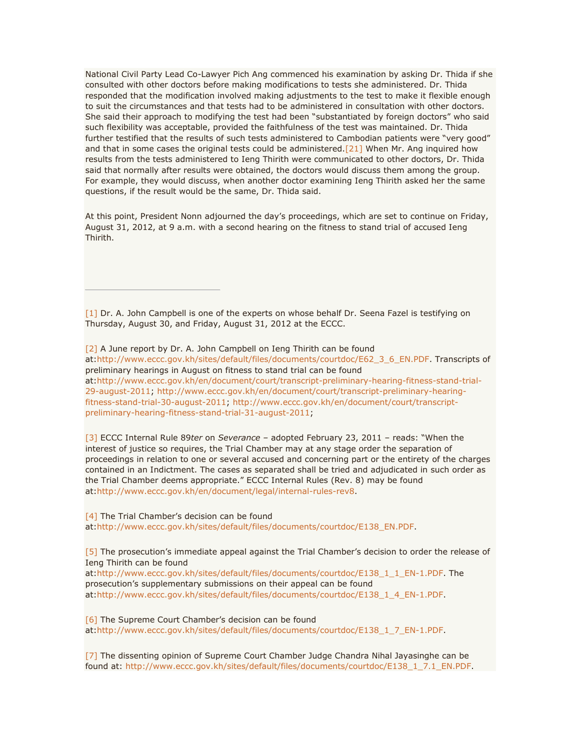National Civil Party Lead Co-Lawyer Pich Ang commenced his examination by asking Dr. Thida if she consulted with other doctors before making modifications to tests she administered. Dr. Thida responded that the modification involved making adjustments to the test to make it flexible enough to suit the circumstances and that tests had to be administered in consultation with other doctors. She said their approach to modifying the test had been "substantiated by foreign doctors" who said such flexibility was acceptable, provided the faithfulness of the test was maintained. Dr. Thida further testified that the results of such tests administered to Cambodian patients were "very good" and that in some cases the original tests could be administered[.\[21\]](http://www.cambodiatribunal.org/blog/2012/08/psychiatric-expert-begins-testimony-ieng-thirith%E2%80%99s-fitness-stand-trial#_ftn21) When Mr. Ang inquired how results from the tests administered to Ieng Thirith were communicated to other doctors, Dr. Thida said that normally after results were obtained, the doctors would discuss them among the group. For example, they would discuss, when another doctor examining Ieng Thirith asked her the same questions, if the result would be the same, Dr. Thida said.

At this point, President Nonn adjourned the day's proceedings, which are set to continue on Friday, August 31, 2012, at 9 a.m. with a second hearing on the fitness to stand trial of accused Ieng Thirith.

[\[1\]](http://www.cambodiatribunal.org/blog/2012/08/psychiatric-expert-begins-testimony-ieng-thirith%E2%80%99s-fitness-stand-trial#_ftnref1) Dr. A. John Campbell is one of the experts on whose behalf Dr. Seena Fazel is testifying on Thursday, August 30, and Friday, August 31, 2012 at the ECCC.

[\[2\]](http://www.cambodiatribunal.org/blog/2012/08/psychiatric-expert-begins-testimony-ieng-thirith%E2%80%99s-fitness-stand-trial#_ftnref2) A June report by Dr. A. John Campbell on Ieng Thirith can be found at[:http://www.eccc.gov.kh/sites/default/files/documents/courtdoc/E62\\_3\\_6\\_EN.PDF.](http://www.eccc.gov.kh/sites/default/files/documents/courtdoc/E62_3_6_EN.PDF) Transcripts of preliminary hearings in August on fitness to stand trial can be found at[:http://www.eccc.gov.kh/en/document/court/transcript-preliminary-hearing-fitness-stand-trial-](http://www.eccc.gov.kh/en/document/court/transcript-preliminary-hearing-fitness-stand-trial-29-august-2011)[29-august-2011;](http://www.eccc.gov.kh/en/document/court/transcript-preliminary-hearing-fitness-stand-trial-29-august-2011) [http://www.eccc.gov.kh/en/document/court/transcript-preliminary-hearing](http://www.eccc.gov.kh/en/document/court/transcript-preliminary-hearing-fitness-stand-trial-30-august-2011)[fitness-stand-trial-30-august-2011;](http://www.eccc.gov.kh/en/document/court/transcript-preliminary-hearing-fitness-stand-trial-30-august-2011) [http://www.eccc.gov.kh/en/document/court/transcript](http://www.eccc.gov.kh/en/document/court/transcript-preliminary-hearing-fitness-stand-trial-31-august-2011)[preliminary-hearing-fitness-stand-trial-31-august-2011;](http://www.eccc.gov.kh/en/document/court/transcript-preliminary-hearing-fitness-stand-trial-31-august-2011)

[\[3\]](http://www.cambodiatribunal.org/blog/2012/08/psychiatric-expert-begins-testimony-ieng-thirith%E2%80%99s-fitness-stand-trial#_ftnref3) ECCC Internal Rule 89*ter* on *Severance –* adopted February 23, 2011 – reads: "When the interest of justice so requires, the Trial Chamber may at any stage order the separation of proceedings in relation to one or several accused and concerning part or the entirety of the charges contained in an Indictment. The cases as separated shall be tried and adjudicated in such order as the Trial Chamber deems appropriate." ECCC Internal Rules (Rev. 8) may be found at[:http://www.eccc.gov.kh/en/document/legal/internal-rules-rev8.](http://www.eccc.gov.kh/en/document/legal/internal-rules-rev8)

[\[4\]](http://www.cambodiatribunal.org/blog/2012/08/psychiatric-expert-begins-testimony-ieng-thirith%E2%80%99s-fitness-stand-trial#_ftnref4) The Trial Chamber's decision can be found at[:http://www.eccc.gov.kh/sites/default/files/documents/courtdoc/E138\\_EN.PDF.](http://www.eccc.gov.kh/sites/default/files/documents/courtdoc/E138_EN.PDF)

[\[5\]](http://www.cambodiatribunal.org/blog/2012/08/psychiatric-expert-begins-testimony-ieng-thirith%E2%80%99s-fitness-stand-trial#_ftnref5) The prosecution's immediate appeal against the Trial Chamber's decision to order the release of Ieng Thirith can be found

at[:http://www.eccc.gov.kh/sites/default/files/documents/courtdoc/E138\\_1\\_1\\_EN-1.PDF.](http://www.eccc.gov.kh/sites/default/files/documents/courtdoc/E138_1_1_EN-1.PDF) The prosecution's supplementary submissions on their appeal can be found at[:http://www.eccc.gov.kh/sites/default/files/documents/courtdoc/E138\\_1\\_4\\_EN-1.PDF.](http://www.eccc.gov.kh/sites/default/files/documents/courtdoc/E138_1_4_EN-1.PDF)

[\[6\]](http://www.cambodiatribunal.org/blog/2012/08/psychiatric-expert-begins-testimony-ieng-thirith%E2%80%99s-fitness-stand-trial#_ftnref6) The Supreme Court Chamber's decision can be found at[:http://www.eccc.gov.kh/sites/default/files/documents/courtdoc/E138\\_1\\_7\\_EN-1.PDF.](http://www.eccc.gov.kh/sites/default/files/documents/courtdoc/E138_1_7_EN-1.PDF)

[\[7\]](http://www.cambodiatribunal.org/blog/2012/08/psychiatric-expert-begins-testimony-ieng-thirith%E2%80%99s-fitness-stand-trial#_ftnref7) The dissenting opinion of Supreme Court Chamber Judge Chandra Nihal Jayasinghe can be found at: [http://www.eccc.gov.kh/sites/default/files/documents/courtdoc/E138\\_1\\_7.1\\_EN.PDF.](http://www.eccc.gov.kh/sites/default/files/documents/courtdoc/E138_1_7.1_EN.PDF)